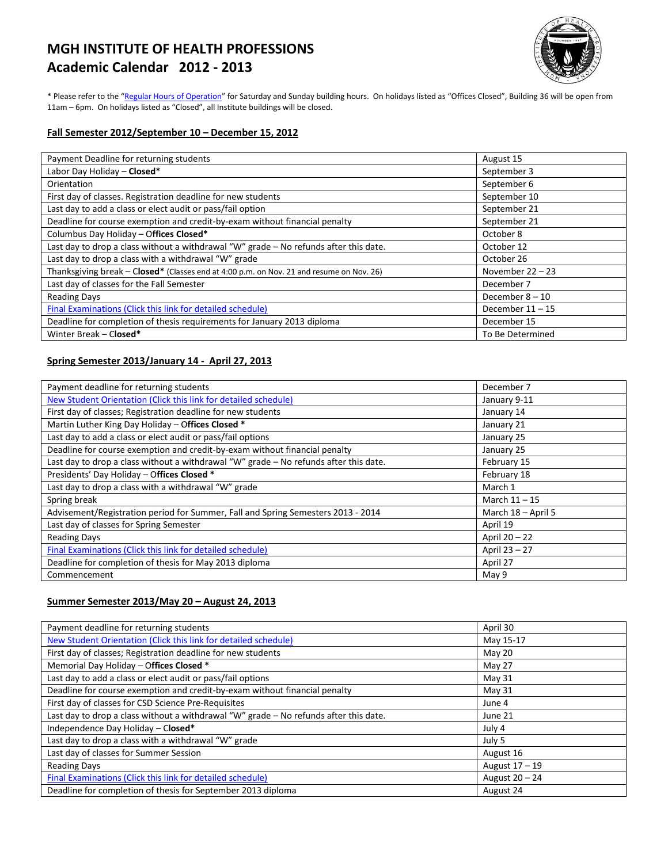# **MGH INSTITUTE OF HEALTH PROFESSIONS Academic Calendar 2012 - 2013**



\* Please refer to the "[Regular Hours of Operation](http://www.mghihp.edu/about-us/operations/hours.aspx)" for Saturday and Sunday building hours. On holidays listed as "Offices Closed", Building 36 will be open from 11am – 6pm. On holidays listed as "Closed", all Institute buildings will be closed.

#### **Fall Semester 2012/September 10 – December 15, 2012**

| Payment Deadline for returning students                                                  | August 15          |
|------------------------------------------------------------------------------------------|--------------------|
| Labor Day Holiday - Closed*                                                              | September 3        |
| Orientation                                                                              | September 6        |
| First day of classes. Registration deadline for new students                             | September 10       |
| Last day to add a class or elect audit or pass/fail option                               | September 21       |
| Deadline for course exemption and credit-by-exam without financial penalty               | September 21       |
| Columbus Day Holiday - Offices Closed*                                                   | October 8          |
| Last day to drop a class without a withdrawal "W" grade - No refunds after this date.    | October 12         |
| Last day to drop a class with a withdrawal "W" grade                                     | October 26         |
| Thanksgiving break - Closed* (Classes end at 4:00 p.m. on Nov. 21 and resume on Nov. 26) | November $22 - 23$ |
| Last day of classes for the Fall Semester                                                | December 7         |
| <b>Reading Days</b>                                                                      | December $8 - 10$  |
| Final Examinations (Click this link for detailed schedule)                               | December $11 - 15$ |
| Deadline for completion of thesis requirements for January 2013 diploma                  | December 15        |
| Winter Break - Closed*                                                                   | To Be Determined   |

## **Spring Semester 2013/January 14 - April 27, 2013**

| Payment deadline for returning students                                               | December 7         |
|---------------------------------------------------------------------------------------|--------------------|
| New Student Orientation (Click this link for detailed schedule)                       | January 9-11       |
| First day of classes; Registration deadline for new students                          | January 14         |
| Martin Luther King Day Holiday - Offices Closed *                                     | January 21         |
| Last day to add a class or elect audit or pass/fail options                           | January 25         |
| Deadline for course exemption and credit-by-exam without financial penalty            | January 25         |
| Last day to drop a class without a withdrawal "W" grade - No refunds after this date. | February 15        |
| Presidents' Day Holiday - Offices Closed *                                            | February 18        |
| Last day to drop a class with a withdrawal "W" grade                                  | March 1            |
| Spring break                                                                          | March $11 - 15$    |
| Advisement/Registration period for Summer, Fall and Spring Semesters 2013 - 2014      | March 18 - April 5 |
| Last day of classes for Spring Semester                                               | April 19           |
| <b>Reading Days</b>                                                                   | April 20 - 22      |
| Final Examinations (Click this link for detailed schedule)                            | April 23 - 27      |
| Deadline for completion of thesis for May 2013 diploma                                | April 27           |
| Commencement                                                                          | May 9              |

### **Summer Semester 2013/May 20 – August 24, 2013**

| April 30       |
|----------------|
| May 15-17      |
| May 20         |
| May 27         |
| May $31$       |
| May 31         |
| June 4         |
| June 21        |
| July 4         |
| July 5         |
| August 16      |
| August 17 - 19 |
| August 20 - 24 |
| August 24      |
|                |